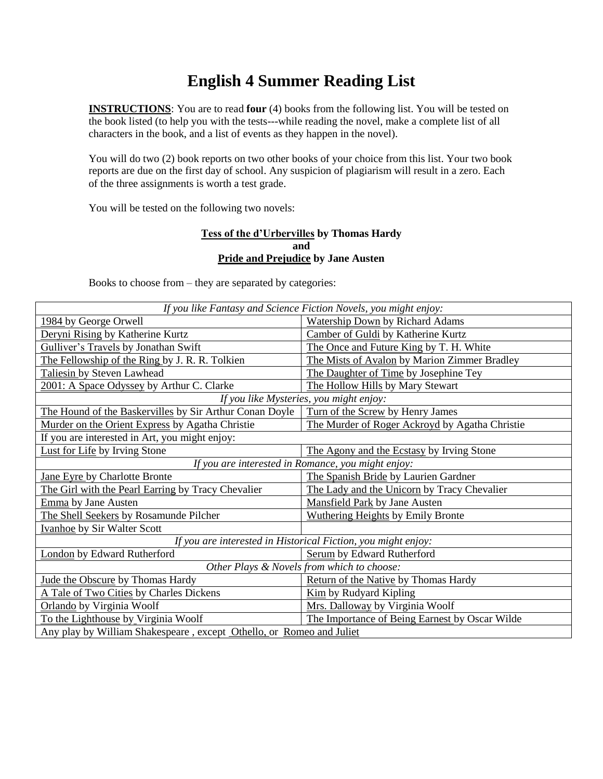# **English 4 Summer Reading List**

**INSTRUCTIONS**: You are to read **four** (4) books from the following list. You will be tested on the book listed (to help you with the tests---while reading the novel, make a complete list of all characters in the book, and a list of events as they happen in the novel).

You will do two (2) book reports on two other books of your choice from this list. Your two book reports are due on the first day of school. Any suspicion of plagiarism will result in a zero. Each of the three assignments is worth a test grade.

You will be tested on the following two novels:

#### **Tess of the d'Urbervilles by Thomas Hardy and Pride and Prejudice by Jane Austen**

Books to choose from – they are separated by categories:

| If you like Fantasy and Science Fiction Novels, you might enjoy:     |                                                |
|----------------------------------------------------------------------|------------------------------------------------|
| 1984 by George Orwell                                                | <b>Watership Down by Richard Adams</b>         |
| Deryni Rising by Katherine Kurtz                                     | Camber of Guldi by Katherine Kurtz             |
| Gulliver's Travels by Jonathan Swift                                 | The Once and Future King by T. H. White        |
| The Fellowship of the Ring by J. R. R. Tolkien                       | The Mists of Avalon by Marion Zimmer Bradley   |
| Taliesin by Steven Lawhead                                           | The Daughter of Time by Josephine Tey          |
| 2001: A Space Odyssey by Arthur C. Clarke                            | The Hollow Hills by Mary Stewart               |
| If you like Mysteries, you might enjoy:                              |                                                |
| The Hound of the Baskervilles by Sir Arthur Conan Doyle              | Turn of the Screw by Henry James               |
| Murder on the Orient Express by Agatha Christie                      | The Murder of Roger Ackroyd by Agatha Christie |
| If you are interested in Art, you might enjoy:                       |                                                |
| <b>Lust for Life by Irving Stone</b>                                 | The Agony and the Ecstasy by Irving Stone      |
| If you are interested in Romance, you might enjoy:                   |                                                |
| Jane Eyre by Charlotte Bronte                                        | The Spanish Bride by Laurien Gardner           |
| The Girl with the Pearl Earring by Tracy Chevalier                   | The Lady and the Unicorn by Tracy Chevalier    |
| Emma by Jane Austen                                                  | Mansfield Park by Jane Austen                  |
| The Shell Seekers by Rosamunde Pilcher                               | <b>Wuthering Heights by Emily Bronte</b>       |
| <b>Ivanhoe</b> by Sir Walter Scott                                   |                                                |
| If you are interested in Historical Fiction, you might enjoy:        |                                                |
| London by Edward Rutherford                                          | Serum by Edward Rutherford                     |
| Other Plays & Novels from which to choose:                           |                                                |
| Jude the Obscure by Thomas Hardy                                     | Return of the Native by Thomas Hardy           |
| A Tale of Two Cities by Charles Dickens                              | <b>Kim</b> by Rudyard Kipling                  |
| Orlando by Virginia Woolf                                            | Mrs. Dalloway by Virginia Woolf                |
| To the Lighthouse by Virginia Woolf                                  | The Importance of Being Earnest by Oscar Wilde |
| Any play by William Shakespeare, except Othello, or Romeo and Juliet |                                                |